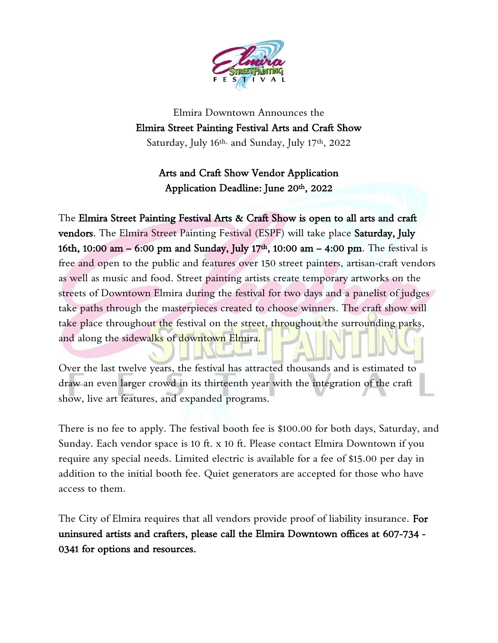

Elmira Downtown Announces the Elmira Street Painting Festival Arts and Craft Show Saturday, July 16<sup>th,</sup> and Sunday, July 17<sup>th</sup>, 2022

### Arts and Craft Show Vendor Application Application Deadline: June 20th, 2022

The Elmira Street Painting Festival Arts & Craft Show is open to all arts and craft vendors. The Elmira Street Painting Festival (ESPF) will take place Saturday, July 16th, 10:00 am – 6:00 pm and Sunday, July 17th, 10:00 am – 4:00 pm. The festival is free and open to the public and features over 150 street painters, artisan-craft vendors as well as music and food. Street painting artists create temporary artworks on the streets of Downtown Elmira during the festival for two days and a panelist of judges take paths through the masterpieces created to choose winners. The craft show will take place throughout the festival on the street, throughout the surrounding parks, and along the sidewalks of downtown Elmira.

Over the last twelve years, the festival has attracted thousands and is estimated to draw an even larger crowd in its thirteenth year with the integration of the craft show, live art features, and expanded programs.

There is no fee to apply. The festival booth fee is \$100.00 for both days, Saturday, and Sunday. Each vendor space is 10 ft. x 10 ft. Please contact Elmira Downtown if you require any special needs. Limited electric is available for a fee of \$15.00 per day in addition to the initial booth fee. Quiet generators are accepted for those who have access to them.

The City of Elmira requires that all vendors provide proof of liability insurance. For uninsured artists and crafters, please call the Elmira Downtown offices at 607-734 - 0341 for options and resources.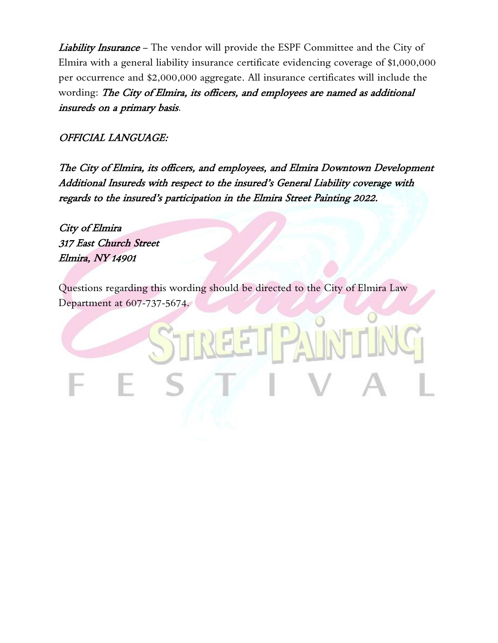Liability Insurance - The vendor will provide the ESPF Committee and the City of Elmira with a general liability insurance certificate evidencing coverage of \$1,000,000 per occurrence and \$2,000,000 aggregate. All insurance certificates will include the wording: The City of Elmira, its officers, and employees are named as additional insureds on a primary basis.

#### OFFICIAL LANGUAGE:

The City of Elmira, its officers, and employees, and Elmira Downtown Development Additional Insureds with respect to the insured's General Liability coverage with regards to the insured's participation in the Elmira Street Painting 2022.

City of Elmira 317 East Church Street Elmira, NY 14901

Questions regarding this wording should be directed to the City of Elmira Law Department at 607-737-5674.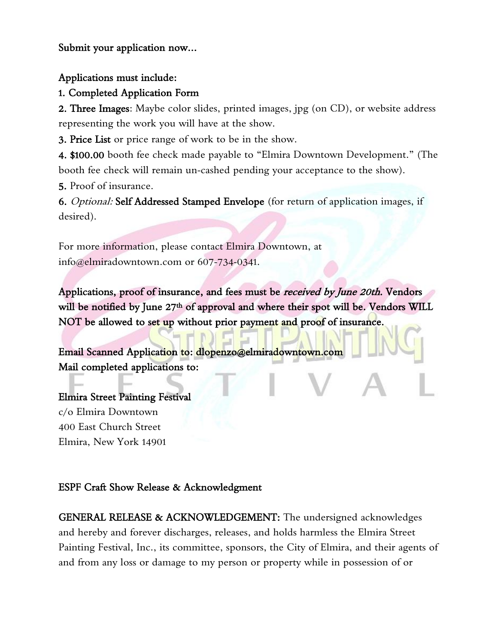Submit your application now…

Applications must include:

1. Completed Application Form

2. Three Images: Maybe color slides, printed images, jpg (on CD), or website address representing the work you will have at the show.

3. Price List or price range of work to be in the show.

4. \$100.00 booth fee check made payable to "Elmira Downtown Development." (The booth fee check will remain un-cashed pending your acceptance to the show).

5. Proof of insurance.

6. Optional: Self Addressed Stamped Envelope (for return of application images, if desired).

For more information, please contact Elmira Downtown, at info@elmiradowntown.com or 607-734-0341.

Applications, proof of insurance, and fees must be *received by June 20th*. Vendors will be notified by June 27<sup>th</sup> of approval and where their spot will be. Vendors WILL NOT be allowed to set up without prior payment and proof of insurance.

Email Scanned Application to: dlopenzo@elmiradowntown.com Mail completed applications to:

Elmira Street Painting Festival c/o Elmira Downtown 400 East Church Street Elmira, New York 14901

#### ESPF Craft Show Release & Acknowledgment

GENERAL RELEASE & ACKNOWLEDGEMENT: The undersigned acknowledges and hereby and forever discharges, releases, and holds harmless the Elmira Street Painting Festival, Inc., its committee, sponsors, the City of Elmira, and their agents of and from any loss or damage to my person or property while in possession of or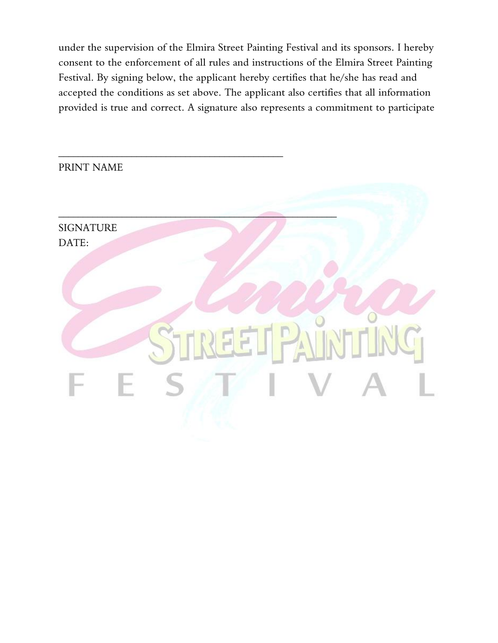under the supervision of the Elmira Street Painting Festival and its sponsors. I hereby consent to the enforcement of all rules and instructions of the Elmira Street Painting Festival. By signing below, the applicant hereby certifies that he/she has read and accepted the conditions as set above. The applicant also certifies that all information provided is true and correct. A signature also represents a commitment to participate

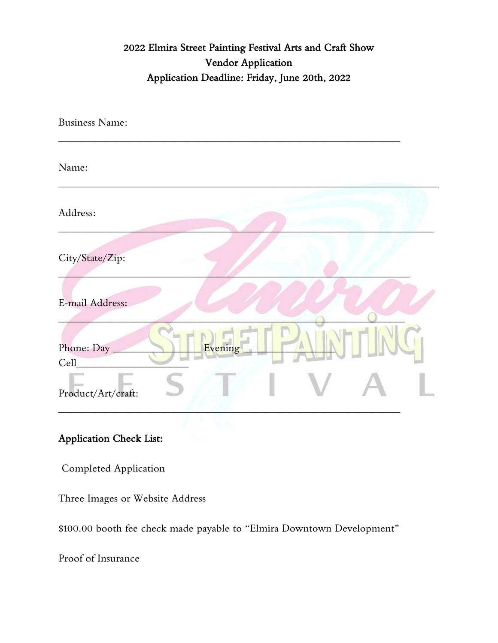# 2022 Elmira Street Painting Festival Arts and Craft Show Vendor Application Application Deadline: Friday, June 20th, 2022

| <b>Business Name:</b>                 |  |
|---------------------------------------|--|
| Name:                                 |  |
| Address:                              |  |
| City/State/Zip:                       |  |
| E-mail Address:                       |  |
| <b>Evening</b><br>Phone: Day<br>Cell_ |  |
| Product/Art/craft:                    |  |
|                                       |  |

#### Application Check List:

Completed Application

Three Images or Website Address

\$100.00 booth fee check made payable to "Elmira Downtown Development"

Proof of Insurance